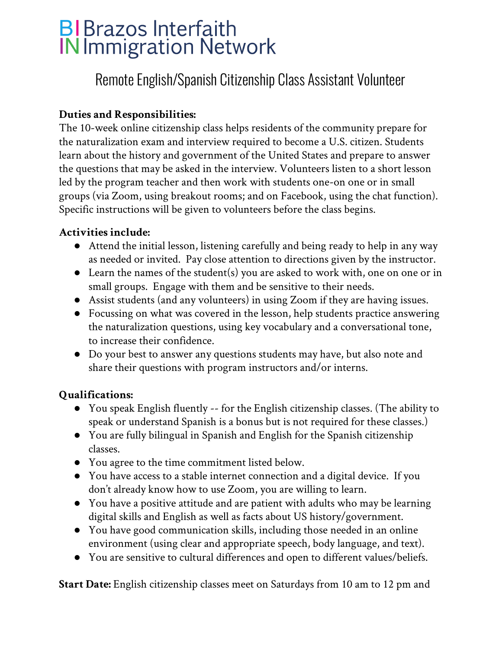# **BIBrazos Interfaith IN Immigration Network**

# Remote English/Spanish Citizenship Class Assistant Volunteer

### **Duties and Responsibilities:**

The 10-week online citizenship class helps residents of the community prepare for the naturalization exam and interview required to become a U.S. citizen. Students learn about the history and government of the United States and prepare to answer the questions that may be asked in the interview. Volunteers listen to a short lesson led by the program teacher and then work with students one-on one or in small groups (via Zoom, using breakout rooms; and on Facebook, using the chat function). Specific instructions will be given to volunteers before the class begins.

#### **Activities include:**

- Attend the initial lesson, listening carefully and being ready to help in any way as needed or invited. Pay close attention to directions given by the instructor.
- Learn the names of the student(s) you are asked to work with, one on one or in small groups. Engage with them and be sensitive to their needs.
- Assist students (and any volunteers) in using Zoom if they are having issues.
- Focussing on what was covered in the lesson, help students practice answering the naturalization questions, using key vocabulary and a conversational tone, to increase their confidence.
- Do your best to answer any questions students may have, but also note and share their questions with program instructors and/or interns.

#### **Qualifications:**

- You speak English fluently -- for the English citizenship classes. (The ability to speak or understand Spanish is a bonus but is not required for these classes.)
- You are fully bilingual in Spanish and English for the Spanish citizenship classes.
- You agree to the time commitment listed below.
- You have access to a stable internet connection and a digital device. If you don't already know how to use Zoom, you are willing to learn.
- You have a positive attitude and are patient with adults who may be learning digital skills and English as well as facts about US history/government.
- You have good communication skills, including those needed in an online environment (using clear and appropriate speech, body language, and text).
- **●** You are sensitive to cultural differences and open to different values/beliefs.

**Start Date:** English citizenship classes meet on Saturdays from 10 am to 12 pm and